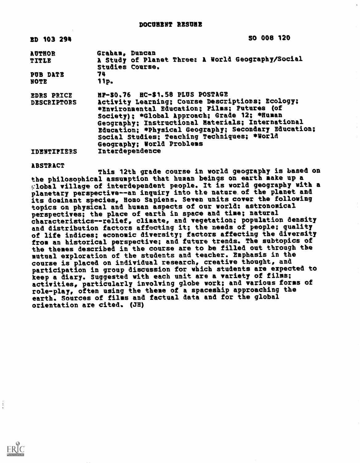| <b>ED 103 294</b>  | SO 008 120                                                           |
|--------------------|----------------------------------------------------------------------|
| <b>AUTHOR</b>      | Graham. Duncan                                                       |
| TITLE              | A Study of Planet Three: A World Geography/Social<br>Studies Course. |
| PUB DATE           | 74                                                                   |
| NOTE               | 11p.                                                                 |
| <b>EDRS PRICE</b>  | HP-50.76 HC-\$1.58 PLUS POSTAGE                                      |
| <b>DESCRIPTORS</b> | Activity Learning: Course Descriptions: Ecology:                     |
|                    | *Environmental Education; Films; Futures (of                         |
|                    | Society); *Global Approach; Grade 12; *Human                         |
|                    | Geography; Instructional Naterials; International                    |
|                    | Education; *Physical Geography; Secondary Education;                 |
|                    | Social Studies; Teaching Techniques; *World                          |
|                    | Geography; World Problems                                            |
| IDENTIFIERS        | Interdependence                                                      |

ABSTRACT

This 12th grade course in world geography is based on the philosophical assumption that human beings on earth make up a Global village of interdependent people. It is world geography with a planetary perspective--an inquiry into the nature of the planet and its dominant species, Homo Sapiens. Seven units cover the following topics on physical and human aspects of our world: astronomical perspectives; the place of earth in space and time; natural characteristicsrelief, climate, and vegetation; population density and distribution factors affecting it; the needs of people; quality of life indices; economic diversity; factors affecting the diversity from an historical perspective; and future trends. The subtopics of the themes described in the course are to be filled out through the mutual exploration of the students and teacher. Emphasis in the course is placed on individual research, creative thought, and participation in group discussion for which students are expected to keep a diary. Suggested with each unit are a variety of films; activities, particularly involving globe work; and various forms of role-play, often using the theme of a spaceship approaching the earth. Sources of films and factual data and for the global orientation are cited. (JH)

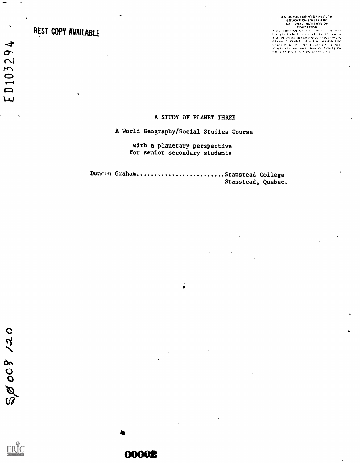# REST COPY AVAILABLE

 $\mathbf{r}\mathbf{w}=\mathbf{w}\mathbf{w}$  as

aat.

ED103294

ses ...

U.S. DE PARTAIENT DE HEATH<br>
EDUCATION<br>
EDUCATION<br>
EDUCATION<br>
EDUCATION<br>
EDUCATION<br>
EDUCATION<br>
EDUCATION<br>
PAT DE VAN NE TAKE AN CHERAL ACTION<br>
EN PERTAIENT AND LANGE AN TITUTE OF<br>
NEATHLE TAKE AN TEAMER VERTICES<br>
NEATHLE T

#### A STUDY OF PLANET THREE

## A World Geography/Social Studies Course

### with a planetary perspective for senior secondary students

Duncen Graham.........................Stanstead College Stanstead, Quebec.

0

00002

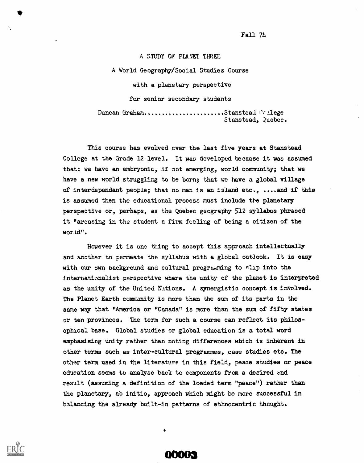Fall 74

A STUDY OF PLANET THREE A World Geography/Social Studies Course with a planetary perspective for senior secondary students Duncan Graham.......................Stanstead College Stanstead, Quebec.

This course has evolved ever the last five years at Stanstead College at the Grade 12 level. It was developed because it was assumed that: we have an embryonic, if not emerging, world community; that we have a new world struggling to be born; that we have a global village of interdependent people; that no man is an island etc., ....and if this is assumed then the educational process must include the planetary perspective or, perhaps, as the Quebec geography 512 syllabus phrased it "arousing in the student a firm feeling of being a citizen of the world".

However it is one thing to accept this approach intellectually and another to permeate the syllabus with a global outlook. It is easy with our own background and cultural programming to slip into the internationalist perspective where the unity of the planet is interpreted as the unity of the United Nations. A synergistic concept is involved. The Planet Earth commanity is more than the sum of its parts in the same way that "America or "Canada" is more than the sum of fifty states or ten provinces. The term for such a course can reflect its philosophical base. Global studies or global education is a total word emphasising unity rather than noting differences which is inherent in other terms such as inter-cultural programmes, case studies etc. The other term used in the literature in this field, peace studies or peace education seems to analyse back to components from a desired and result (assuming a definition of the loaded term "peace") rather than the planetary, ab initio, approach which might be more successful in balancing the already built-in patterns of ethnocentric thought.

**ODOR** 

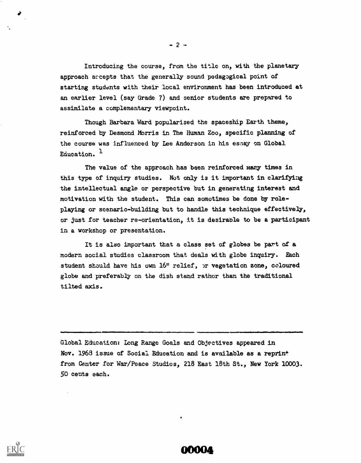Introducing the course, from the title on, with the planetary approach accepts that the generally sound pedagogical point of starting students with their local environment has been introduced at an earlier level (say Grade 7) and senior students are prepared to assimilate a complementary viewpoint.

Though Barbara Ward popularised the spaceship Earth theme, reinforced by Desmond Morris in The Human Zoo, specific planning of the course was influenced by Lee Anderson in his essay on Global Equention.  $<sup>1</sup>$ </sup>

The value of the approach has been reinforced mary times in this type of inquiry studies. Not only is it important in clarifying the intellectual angle or perspective but in generating interest and motivation with the student. This can sometimes be done by role playing or scenario-building but to handle this technique effectively, or just for teacher re-orientation, it is desirable to be a participant in a workshop or presentation.

It is also important that a class set of globes be part of a modern social studies classroom that deals with globe inquiry. Each student should have his own 16" relief, )r vegetation zone, coloured globe and preferably on the dish stand rather than the traditional tilted axis.

Global Education; Long Range Goals and Objectives appeared in Nov. 1968 issue of Social Education and is available as a reprint from Center for War/Peace Studies, 218 East 18th St., New York 10003. 50 cents each.

MMM

 $\mathbf{I}$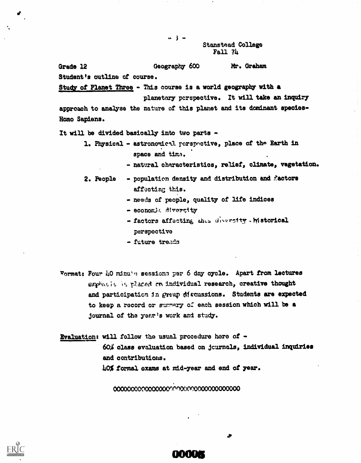Stanstead College  $Fa11 7h$ 

#### Grade 12 Geography 600 Mr. Graham

\*\* } \*\*

Student's outline of course.

Study of Planet Three - This course is a world geography with a

planetary porspective. it will take an inquiry approach to analyse the nature of this planet and its dominant species-Homo Sapiens.

It will be divided basically into two parts -

- 1. Physical astronomical rerspactive, place of the Earth in space and time.
	- natural characteristics, relief, climate, vegetation.
- 2. People  $\rightarrow$  population density and distribution and factors affecting this.
	- needs of people, quality of life indices
	- economic diversity
	- factors affecting this diversity. Mistorical perspective
	- future treada
- Format: Four 40 minu<sup>1</sup><sup>9</sup> session: per 6 day cycle. Apart from lectures emphasis is placed on individual research, creative thought and participation in group discussions. Students are expected to keep a record or summary of each session which will be a journal of the year's work and study.

Evaluation: will follow the usual procedure here of - 6O% class evaluation based on journals, individual inquiries and contributions. 40% formal exams at mid-year and end of year.

000000000000000Cfr' 10(0,0000000000000



⋗

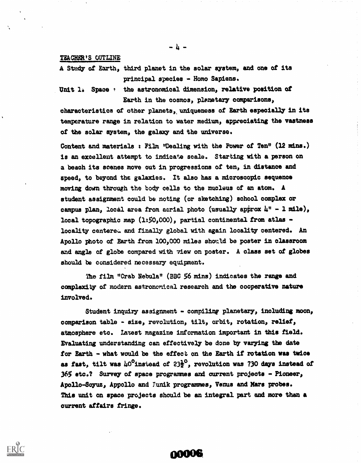#### TEACHER'S OUTLINE

A Study of Earth, third planet in the solar system, and one of its principal species - Homo Sapiens.

Unit 1. Space : the astronomical dimension, relative position of Earth in the cosmos, planetary comparisons,

characteristics of other planets, uniqueness of Earth especially in its temperature range in relation to water medium, appreciating the vastness of the solar system, the galaxy and the universe.

Content and materials : Film "Dealing with the Power of Ten"  $(12 \text{ mins.})$ is an excellent attempt to indicate scale. Starting with a person on a beach its scenes move out in progressions of ten, in distance and speed, to beyond the galaxies. It also has a microscopic sequence moving down through the body cells to the nucleus of an atom. A student assignment could be noting (or sketching) school complex or campus plan, local area from aerial photo (usually approx  $\mu'' - 1$  mile), local topographic map  $(1:50,000)$ , partial continental from atlas locality centered and finally global with again locality centered. An Apollo photo of Earth from 100,000 miles should be poster in classroom and angle of globe compared with 7iew on poster. A class set of globes should be considered necessary equipment.

The film "Crab Nebula" (BBC 56 mins) indicates the range and complexity of modern astronomical research and the cooperative nature involved.

Student inquiry assignment - compiling planetary, including moon, comparison table - size, revolution, tilt, orbit, rotation, relief, atmosphere etc. Latest magazine information important in this field. Evaluating understanding can effectively be done by varying the date for Earth - what would be the effect on the Earth if rotation was twice as fast, tilt was  $\mu$ <sup>O</sup>instead of 23<sup>1</sup>/<sub>2</sub><sup>0</sup>, revolution was 730 days instead of 365 etc.? Survey of space programmes and current projects - Pioneer, Apollo-Soyuz, Appollo and Junik programmes, Venus and Mars probes. This unit on space projects should be an integral part and more than a current affairs fringe.

00006

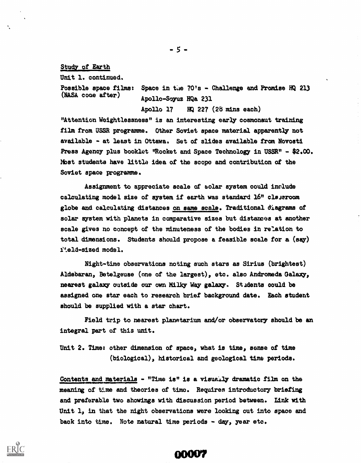Study of Earth

Unit 1. continued.

## Possible apace films: Space in the  $70'$ s - Challenge and Promise HQ 213 (NASA code after) Apollo-Soyuz HQa 231

Apollo 17 HQ 227 (28 mins each) "Attention Weightlessness" is an interesting early cosmonaut training film from USSR programme. Other Soviet space material apparently' not available - at least in Ottawa. Set of slides available from Novoati Press Agency plus booklet "Rocket and Space Technology in USSR" - \$2.00. Most students have little idea of the scope and contribution of the Soviet space programme.

Assignment to appreciate scale of solar system could include calculating model size of system if earth was standard  $16"$  clssroom globe and calculating distances on same scale. Traditional diagrams of solar system with planets in comparative sizes but distances at another scale gives no concept of the minuteness of the bodies in relation to total dimensions. Students should propose a feasible scale for a (say) iteld-sized model.

Night-time observations noting such stars as Sirius (brightest) Aldebaran, Betelgeuse (one of the largest), etc. also Andromeda Galaxy, nearest galaxy outside our own Milky Way galaxy. St adents could be assigned one star each to research brief background date. Each student should be supplied with a star chart.

Field trip to nearest planetarium and/or observatory should be an integral part of this unit.

Unit 2. Time: other dimension of space, what is time, sense of time (biological), historical and geological time periods.

Contents and materials - "Time is" is a visually dramatic film on the meaning of time and theories of time. Requires introductory briefing and preferable two showings with discussion period between. Link with Unit 1, in that the night observations were looking out into space and back into time. Note natural time periods - day, year etc.

**OOOU7**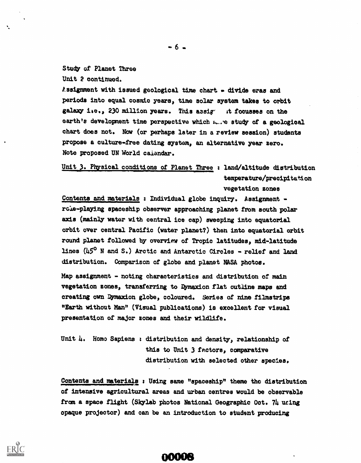Study of Planet Three Unit 2 continued.

Assignment with issued geological time chart  $\sim$  divide eras and periods into equal cosmic years, time solar system takes to orbit galaxy i.e., 230 million years. This assig- it focusses on the earth's development time perspective which maste study of a geological chart does not. Now (or perhaps later in a review session) students propose a culture-free dating system, an alternative year zero. Note proposed UN World caiendar.

Unit 3. Physical conditions of Planet Three : land/altitude distribution temperature/precipitation vegetation zones

Contents and materials : Individual globe inquiry. Assignment role-playing spaceship observer approaching planet from south polar axis (mainly water with central ice cap) sweeping into equatorial orbit over central Pacific (water planet?) then into equatorial orbit round planet followed by overview of Tropic latitudes, mid-latitude lines (45° N and S.) Arctic and Antarctic Circles - relief and land distribution. Comparison of globe and planet NASA photos.

Map assignment - noting characteristics and distribution of main vegetation zones, transferring to Dymaxion flat outline maps and creating own 4maxion globe, coloured. Series of nine filmstrips "Earth without Man" (Visual publications) is excellent for visual presentation of major zones and their wildlife.

Unit 14. Homo Sapiens : distribution and density, relationship of this to Unit 3 factors, comparative distribution with selected other species.

Contents and materials : Using same "spaceship" theme the distribution of intensive agricultural areas and urban centres would be observable from a space flight (Skylab photos National Geographic Oct. 74 wing opaque projector) and can be an introduction to student producing

**OOOO**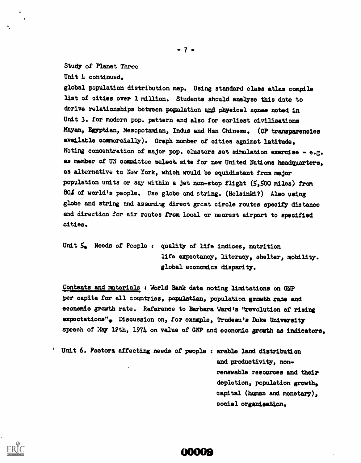#### Study of Planet Three

Unit h continued.

global population distribution map. Using standard class atlas compile list of cities over I million. Students should analyse this date to derive relationships between population and physical zonse noted in Unit 3. for modern pop. pattern and also for earliest civilisations Mayan) Egyptian, Mesopotamian, Indus and Han Chinese. (OP transparencies available commercially). Graph number of cities against latitude. Noting concentration of major pop. clusters set simulation exercise - e.g. as member of UN committee select. site for new United Nations headquarters, as alternative to New York, which would be equidistant from major population units or say within a jet non-stop flight (5,500 miles) from 80% of world's people. Use globe and string. (Helsinki?) Also using globe and string and assuming direct great circle routes specify distance and direction for air routes from local or nearest airport to specified cities.

Unit 5. Needs of People: quality of life indices, nutrition life expectancy, literacy, shelter, nobility. global economics disparity.

Contents and materials : World Bank data noting limitations on GNP per capita for all countries, population, population growth rate and economic growth rate. Reference to Barbara Ward's "revolution of rising expectations", Discussion on, for example, Trudeau's Duke University speech of May 12th, 1974 on value of GNP and economic growth as indicators.

Unit 6. Factors affecting needs of people ; arable land distribution and productivity, nonrenewable resources and their depletion, population growth, capital (human and monetary), social organisation.

**ODOLE** 

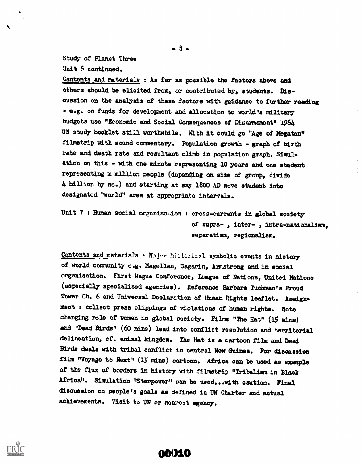Study of Planet Three Unit 6 continued.

Ñ

Contents and materials : As far as possible the factors above and others should be elicited from, or contributed by, students. Diecuasion on the analysis of these factors with guidance to further reading - e.g. on funds for development and allocation to world's military budgets use "Economic and Social Consequences of Disarmament" 1964

UN study booklet still worthwhile. With it could. go "Age of Megaton" filmstrip with sound commentary. Population growth - graph of birth rate and death rate and resultant climb in population graph. Simulation on this - with one minute representing 10 years and one student representing x million people (depending on sire of group, divide 4, billion by no.) and starting at say 1800 AD move student into designated "world" area at appropriate intervals.

Unit 7 : Human social organisation : cross-currents in global society of supra- , inter- , intra-nationalism, separatism, regionalism.

Contents and materials . Major historical symbolic events in history of world community e.g. Magellan, Gagerin, Armstrong and in social organisation. First Hague Conference, league of Nations, United Nations (especially specialised agencies). Reference Barbara Tuchman's Proud Tower Ch. 6 and Universal Declaration of Human Rights leaflet. Assignment collect press clippings of violations of human rights. Note changing role of women in global society. Films "The Hat" (15 mina) and "Dead Birds" (60 mins) lead into conflict resolution and territorial delineation, of. animal kingdom. The Hat is a cartoon film and Dead Birds deals with tribal conflict in central New Guinea. For discussion film "Voyage to Next" (15 mins) cartoon. Africa can be used as example of the flux of borders in history with filmstrip "Tribalism in Black Africa". Simulation "Starpower" can be used...4th caution. Final discussion on people's goals as defined in UN Charter and actual achievements. Visit to UN or nearest agency.

**00010** 

 $-8-$